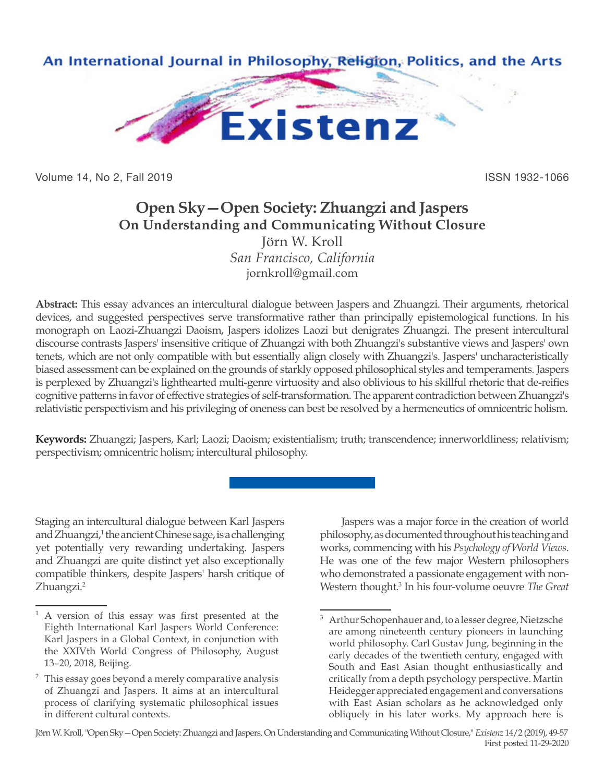

Volume 14, No 2, Fall 2019 ISSN 1932-1066

# **Open Sky—Open Society: Zhuangzi and Jaspers On Understanding and Communicating Without Closure** Jörn W. Kroll

*San Francisco, California* jornkroll@gmail.com

**Abstract:** This essay advances an intercultural dialogue between Jaspers and Zhuangzi. Their arguments, rhetorical devices, and suggested perspectives serve transformative rather than principally epistemological functions. In his monograph on Laozi-Zhuangzi Daoism, Jaspers idolizes Laozi but denigrates Zhuangzi. The present intercultural discourse contrasts Jaspers' insensitive critique of Zhuangzi with both Zhuangzi's substantive views and Jaspers' own tenets, which are not only compatible with but essentially align closely with Zhuangzi's. Jaspers' uncharacteristically biased assessment can be explained on the grounds of starkly opposed philosophical styles and temperaments. Jaspers is perplexed by Zhuangzi's lighthearted multi-genre virtuosity and also oblivious to his skillful rhetoric that de-reifies cognitive patterns in favor of effective strategies of self-transformation. The apparent contradiction between Zhuangzi's relativistic perspectivism and his privileging of oneness can best be resolved by a hermeneutics of omnicentric holism.

**Keywords:** Zhuangzi; Jaspers, Karl; Laozi; Daoism; existentialism; truth; transcendence; innerworldliness; relativism; perspectivism; omnicentric holism; intercultural philosophy.

Staging an intercultural dialogue between Karl Jaspers and Zhuangzi,<sup>1</sup> the ancient Chinese sage, is a challenging yet potentially very rewarding undertaking. Jaspers and Zhuangzi are quite distinct yet also exceptionally compatible thinkers, despite Jaspers' harsh critique of Zhuangzi.<sup>2</sup>

Jaspers was a major force in the creation of world philosophy, as documented throughout his teaching and works, commencing with his *Psychology of World Views*. He was one of the few major Western philosophers who demonstrated a passionate engagement with non-Western thought.3 In his four-volume oeuvre *The Great* 

Jörn W. Kroll, "Open Sky—Open Society: Zhuangzi and Jaspers. On Understanding and Communicating Without Closure," *Existenz* 14/2 (2019), 49-57 First posted 11-29-2020

<sup>1</sup> A version of this essay was first presented at the Eighth International Karl Jaspers World Conference: Karl Jaspers in a Global Context, in conjunction with the XXIVth World Congress of Philosophy, August 13–20, 2018, Beijing.

This essay goes beyond a merely comparative analysis of Zhuangzi and Jaspers. It aims at an intercultural process of clarifying systematic philosophical issues in different cultural contexts.

<sup>3</sup> Arthur Schopenhauer and, to a lesser degree, Nietzsche are among nineteenth century pioneers in launching world philosophy. Carl Gustav Jung, beginning in the early decades of the twentieth century, engaged with South and East Asian thought enthusiastically and critically from a depth psychology perspective. Martin Heidegger appreciated engagement and conversations with East Asian scholars as he acknowledged only obliquely in his later works. My approach here is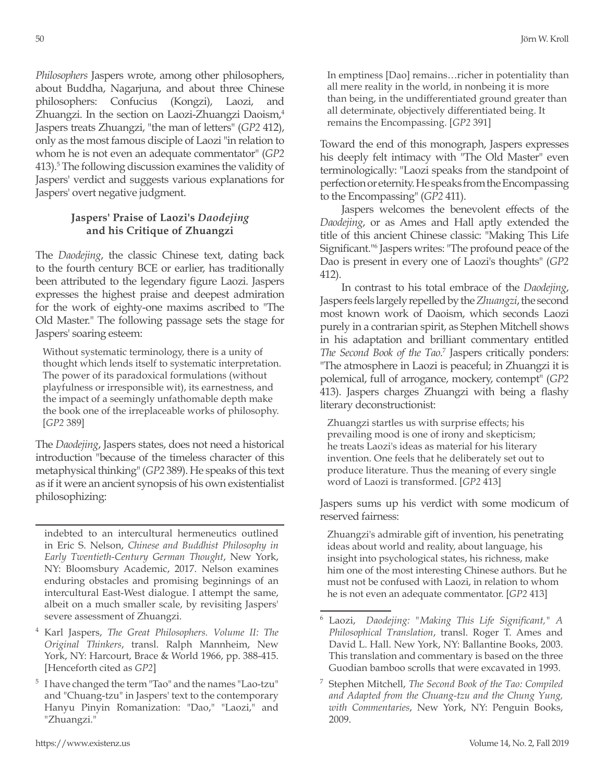*Philosophers* Jaspers wrote, among other philosophers, about Buddha, Nagarjuna, and about three Chinese philosophers: Confucius (Kongzi), Laozi, and Zhuangzi. In the section on Laozi-Zhuangzi Daoism,<sup>4</sup> Jaspers treats Zhuangzi, "the man of letters" (*GP2* 412), only as the most famous disciple of Laozi "in relation to whom he is not even an adequate commentator" (*GP2*  413).5 The following discussion examines the validity of Jaspers' verdict and suggests various explanations for Jaspers' overt negative judgment.

# **Jaspers' Praise of Laozi's** *Daodejing* **and his Critique of Zhuangzi**

The *Daodejing*, the classic Chinese text, dating back to the fourth century BCE or earlier, has traditionally been attributed to the legendary figure Laozi. Jaspers expresses the highest praise and deepest admiration for the work of eighty-one maxims ascribed to "The Old Master." The following passage sets the stage for Jaspers' soaring esteem:

Without systematic terminology, there is a unity of thought which lends itself to systematic interpretation. The power of its paradoxical formulations (without playfulness or irresponsible wit), its earnestness, and the impact of a seemingly unfathomable depth make the book one of the irreplaceable works of philosophy. [*GP2* 389]

The *Daodejing*, Jaspers states, does not need a historical introduction "because of the timeless character of this metaphysical thinking" (*GP2* 389). He speaks of this text as if it were an ancient synopsis of his own existentialist philosophizing:

indebted to an intercultural hermeneutics outlined in Eric S. Nelson, *Chinese and Buddhist Philosophy in Early Twentieth-Century German Thought*, New York, NY: Bloomsbury Academic, 2017. Nelson examines enduring obstacles and promising beginnings of an intercultural East-West dialogue. I attempt the same, albeit on a much smaller scale, by revisiting Jaspers' severe assessment of Zhuangzi.

- <sup>4</sup> Karl Jaspers, *The Great Philosophers. Volume II: The Original Thinkers*, transl. Ralph Mannheim, New York, NY: Harcourt, Brace & World 1966, pp. 388-415. [Henceforth cited as *GP2*]
- <sup>5</sup> I have changed the term "Tao" and the names "Lao-tzu" and "Chuang-tzu" in Jaspers' text to the contemporary Hanyu Pinyin Romanization: "Dao," "Laozi," and "Zhuangzi."

In emptiness [Dao] remains…richer in potentiality than all mere reality in the world, in nonbeing it is more than being, in the undifferentiated ground greater than all determinate, objectively differentiated being. It remains the Encompassing. [*GP2* 391]

Toward the end of this monograph, Jaspers expresses his deeply felt intimacy with "The Old Master" even terminologically: "Laozi speaks from the standpoint of perfection or eternity. He speaks from the Encompassing to the Encompassing" (*GP2* 411).

Jaspers welcomes the benevolent effects of the *Daodejing*, or as Ames and Hall aptly extended the title of this ancient Chinese classic: "Making This Life Significant."<sup>6</sup> Jaspers writes: "The profound peace of the Dao is present in every one of Laozi's thoughts" (*GP2*  412).

In contrast to his total embrace of the *Daodejing*, Jaspers feels largely repelled by the *Zhuangzi*, the second most known work of Daoism, which seconds Laozi purely in a contrarian spirit, as Stephen Mitchell shows in his adaptation and brilliant commentary entitled The Second Book of the Tao.<sup>7</sup> Jaspers critically ponders: "The atmosphere in Laozi is peaceful; in Zhuangzi it is polemical, full of arrogance, mockery, contempt" (*GP2* 413). Jaspers charges Zhuangzi with being a flashy literary deconstructionist:

Zhuangzi startles us with surprise effects; his prevailing mood is one of irony and skepticism; he treats Laozi's ideas as material for his literary invention. One feels that he deliberately set out to produce literature. Thus the meaning of every single word of Laozi is transformed. [*GP2* 413]

Jaspers sums up his verdict with some modicum of reserved fairness:

Zhuangzi's admirable gift of invention, his penetrating ideas about world and reality, about language, his insight into psychological states, his richness, make him one of the most interesting Chinese authors. But he must not be confused with Laozi, in relation to whom he is not even an adequate commentator. [*GP2* 413]

<sup>6</sup> Laozi, *Daodejing: "Making This Life Significant," A Philosophical Translation*, transl. Roger T. Ames and David L. Hall. New York, NY: Ballantine Books, 2003. This translation and commentary is based on the three Guodian bamboo scrolls that were excavated in 1993.

<sup>7</sup> Stephen Mitchell, *The Second Book of the Tao: Compiled and Adapted from the Chuang-tzu and the Chung Yung, with Commentaries*, New York, NY: Penguin Books, 2009.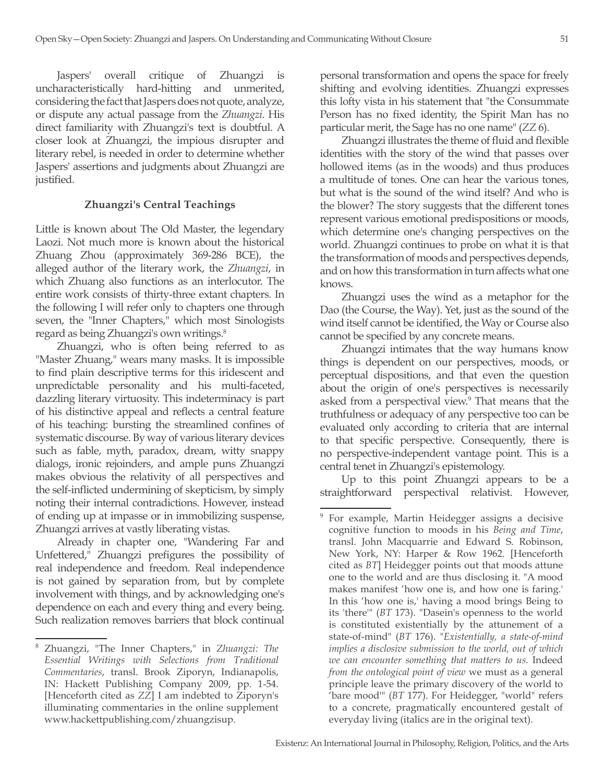Jaspers' overall critique of Zhuangzi is uncharacteristically hard-hitting and unmerited, considering the fact that Jaspers does not quote, analyze, or dispute any actual passage from the *Zhuangzi*. His direct familiarity with Zhuangzi's text is doubtful. A closer look at Zhuangzi, the impious disrupter and literary rebel, is needed in order to determine whether Jaspers' assertions and judgments about Zhuangzi are justified.

#### **Zhuangzi's Central Teachings**

Little is known about The Old Master, the legendary Laozi. Not much more is known about the historical Zhuang Zhou (approximately 369-286 BCE), the alleged author of the literary work, the *Zhuangzi*, in which Zhuang also functions as an interlocutor. The entire work consists of thirty-three extant chapters. In the following I will refer only to chapters one through seven, the "Inner Chapters," which most Sinologists regard as being Zhuangzi's own writings.<sup>8</sup>

Zhuangzi, who is often being referred to as "Master Zhuang," wears many masks. It is impossible to find plain descriptive terms for this iridescent and unpredictable personality and his multi-faceted, dazzling literary virtuosity. This indeterminacy is part of his distinctive appeal and reflects a central feature of his teaching: bursting the streamlined confines of systematic discourse. By way of various literary devices such as fable, myth, paradox, dream, witty snappy dialogs, ironic rejoinders, and ample puns Zhuangzi makes obvious the relativity of all perspectives and the self-inflicted undermining of skepticism, by simply noting their internal contradictions. However, instead of ending up at impasse or in immobilizing suspense, Zhuangzi arrives at vastly liberating vistas.

Already in chapter one, "Wandering Far and Unfettered," Zhuangzi prefigures the possibility of real independence and freedom. Real independence is not gained by separation from, but by complete involvement with things, and by acknowledging one's dependence on each and every thing and every being. Such realization removes barriers that block continual personal transformation and opens the space for freely shifting and evolving identities. Zhuangzi expresses this lofty vista in his statement that "the Consummate Person has no fixed identity, the Spirit Man has no particular merit, the Sage has no one name" (*ZZ* 6).

Zhuangzi illustrates the theme of fluid and flexible identities with the story of the wind that passes over hollowed items (as in the woods) and thus produces a multitude of tones. One can hear the various tones, but what is the sound of the wind itself? And who is the blower? The story suggests that the different tones represent various emotional predispositions or moods, which determine one's changing perspectives on the world. Zhuangzi continues to probe on what it is that the transformation of moods and perspectives depends, and on how this transformation in turn affects what one knows.

Zhuangzi uses the wind as a metaphor for the Dao (the Course, the Way). Yet, just as the sound of the wind itself cannot be identified, the Way or Course also cannot be specified by any concrete means.

Zhuangzi intimates that the way humans know things is dependent on our perspectives, moods, or perceptual dispositions, and that even the question about the origin of one's perspectives is necessarily asked from a perspectival view.9 That means that the truthfulness or adequacy of any perspective too can be evaluated only according to criteria that are internal to that specific perspective. Consequently, there is no perspective-independent vantage point. This is a central tenet in Zhuangzi's epistemology.

Up to this point Zhuangzi appears to be a straightforward perspectival relativist. However,

<sup>8</sup> Zhuangzi, "The Inner Chapters," in *Zhuangzi: The Essential Writings with Selections from Traditional Commentaries*, transl. Brook Ziporyn, Indianapolis, IN: Hackett Publishing Company 2009, pp. 1-54. [Henceforth cited as *ZZ*] I am indebted to Ziporyn's illuminating commentaries in the online supplement www.hackettpublishing.com/zhuangzisup.

<sup>&</sup>lt;sup>9</sup> For example, Martin Heidegger assigns a decisive cognitive function to moods in his *Being and Time*, transl. John Macquarrie and Edward S. Robinson, New York, NY: Harper & Row 1962. [Henceforth cited as *BT*] Heidegger points out that moods attune one to the world and are thus disclosing it. "A mood makes manifest 'how one is, and how one is faring.' In this 'how one is,' having a mood brings Being to its 'there'" (*BT* 173). "Dasein's openness to the world is constituted existentially by the attunement of a state-of-mind" (*BT* 176). "*Existentially, a state-of-mind implies a disclosive submission to the world, out of which we can encounter something that matters to us.* Indeed *from the ontological point of view* we must as a general principle leave the primary discovery of the world to 'bare mood'" (*BT* 177). For Heidegger, "world" refers to a concrete, pragmatically encountered gestalt of everyday living (italics are in the original text).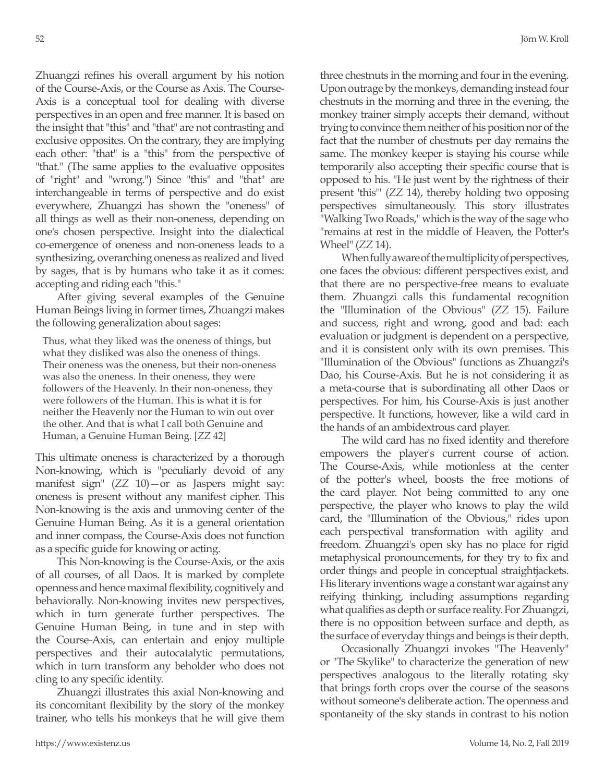Zhuangzi refines his overall argument by his notion of the Course-Axis, or the Course as Axis. The Course-Axis is a conceptual tool for dealing with diverse perspectives in an open and free manner. It is based on the insight that "this" and "that" are not contrasting and exclusive opposites. On the contrary, they are implying each other: "that" is a "this" from the perspective of "that." (The same applies to the evaluative opposites of "right" and "wrong.") Since "this" and "that" are interchangeable in terms of perspective and do exist everywhere, Zhuangzi has shown the "oneness" of all things as well as their non-oneness, depending on one's chosen perspective. Insight into the dialectical co-emergence of oneness and non-oneness leads to a synthesizing, overarching oneness as realized and lived by sages, that is by humans who take it as it comes: accepting and riding each "this."

After giving several examples of the Genuine Human Beings living in former times, Zhuangzi makes the following generalization about sages:

Thus, what they liked was the oneness of things, but what they disliked was also the oneness of things. Their oneness was the oneness, but their non-oneness was also the oneness. In their oneness, they were followers of the Heavenly. In their non-oneness, they were followers of the Human. This is what it is for neither the Heavenly nor the Human to win out over the other. And that is what I call both Genuine and Human, a Genuine Human Being. [*ZZ* 42]

This ultimate oneness is characterized by a thorough Non-knowing, which is "peculiarly devoid of any manifest sign" (*ZZ* 10) — or as Jaspers might say: oneness is present without any manifest cipher. This Non-knowing is the axis and unmoving center of the Genuine Human Being. As it is a general orientation and inner compass, the Course-Axis does not function as a specific guide for knowing or acting.

This Non-knowing is the Course-Axis, or the axis of all courses, of all Daos. It is marked by complete openness and hence maximal flexibility, cognitively and behaviorally. Non-knowing invites new perspectives, which in turn generate further perspectives. The Genuine Human Being, in tune and in step with the Course-Axis, can entertain and enjoy multiple perspectives and their autocatalytic permutations, which in turn transform any beholder who does not cling to any specific identity.

Zhuangzi illustrates this axial Non-knowing and its concomitant flexibility by the story of the monkey trainer, who tells his monkeys that he will give them three chestnuts in the morning and four in the evening. Upon outrage by the monkeys, demanding instead four chestnuts in the morning and three in the evening, the monkey trainer simply accepts their demand, without trying to convince them neither of his position nor of the fact that the number of chestnuts per day remains the same. The monkey keeper is staying his course while temporarily also accepting their specific course that is opposed to his. "He just went by the rightness of their present 'this'" (*ZZ* 14), thereby holding two opposing perspectives simultaneously. This story illustrates "Walking Two Roads," which is the way of the sage who "remains at rest in the middle of Heaven, the Potter's Wheel" (*ZZ* 14).

When fully aware of the multiplicity of perspectives, one faces the obvious: different perspectives exist, and that there are no perspective-free means to evaluate them. Zhuangzi calls this fundamental recognition the "Illumination of the Obvious" (*ZZ* 15). Failure and success, right and wrong, good and bad: each evaluation or judgment is dependent on a perspective, and it is consistent only with its own premises. This "Illumination of the Obvious" functions as Zhuangzi's Dao, his Course-Axis. But he is not considering it as a meta-course that is subordinating all other Daos or perspectives. For him, his Course-Axis is just another perspective. It functions, however, like a wild card in the hands of an ambidextrous card player.

The wild card has no fixed identity and therefore empowers the player's current course of action. The Course-Axis, while motionless at the center of the potter's wheel, boosts the free motions of the card player. Not being committed to any one perspective, the player who knows to play the wild card, the "Illumination of the Obvious," rides upon each perspectival transformation with agility and freedom. Zhuangzi's open sky has no place for rigid metaphysical pronouncements, for they try to fix and order things and people in conceptual straightjackets. His literary inventions wage a constant war against any reifying thinking, including assumptions regarding what qualifies as depth or surface reality. For Zhuangzi, there is no opposition between surface and depth, as the surface of everyday things and beings is their depth.

Occasionally Zhuangzi invokes "The Heavenly" or "The Skylike" to characterize the generation of new perspectives analogous to the literally rotating sky that brings forth crops over the course of the seasons without someone's deliberate action. The openness and spontaneity of the sky stands in contrast to his notion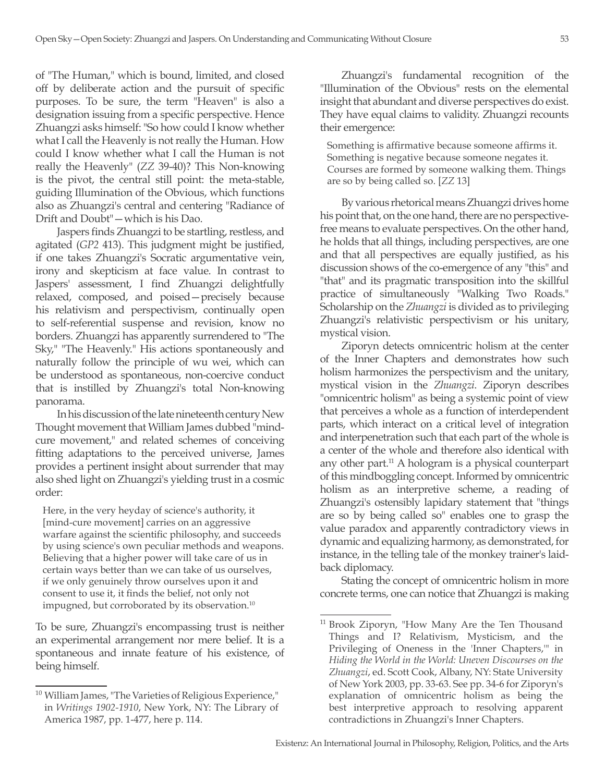of "The Human," which is bound, limited, and closed off by deliberate action and the pursuit of specific purposes. To be sure, the term "Heaven" is also a designation issuing from a specific perspective. Hence Zhuangzi asks himself: "So how could I know whether what I call the Heavenly is not really the Human. How could I know whether what I call the Human is not really the Heavenly" (*ZZ* 39-40)? This Non-knowing is the pivot, the central still point: the meta-stable, guiding Illumination of the Obvious, which functions also as Zhuangzi's central and centering "Radiance of Drift and Doubt"—which is his Dao.

Jaspers finds Zhuangzi to be startling, restless, and agitated (*GP2* 413). This judgment might be justified, if one takes Zhuangzi's Socratic argumentative vein, irony and skepticism at face value. In contrast to Jaspers' assessment, I find Zhuangzi delightfully relaxed, composed, and poised—precisely because his relativism and perspectivism, continually open to self-referential suspense and revision, know no borders. Zhuangzi has apparently surrendered to "The Sky," "The Heavenly." His actions spontaneously and naturally follow the principle of wu wei, which can be understood as spontaneous, non-coercive conduct that is instilled by Zhuangzi's total Non-knowing panorama.

In his discussion of the late nineteenth century New Thought movement that William James dubbed "mindcure movement," and related schemes of conceiving fitting adaptations to the perceived universe, James provides a pertinent insight about surrender that may also shed light on Zhuangzi's yielding trust in a cosmic order:

Here, in the very heyday of science's authority, it [mind-cure movement] carries on an aggressive warfare against the scientific philosophy, and succeeds by using science's own peculiar methods and weapons. Believing that a higher power will take care of us in certain ways better than we can take of us ourselves, if we only genuinely throw ourselves upon it and consent to use it, it finds the belief, not only not impugned, but corroborated by its observation.<sup>10</sup>

To be sure, Zhuangzi's encompassing trust is neither an experimental arrangement nor mere belief. It is a spontaneous and innate feature of his existence, of being himself.

Zhuangzi's fundamental recognition of the "Illumination of the Obvious" rests on the elemental insight that abundant and diverse perspectives do exist. They have equal claims to validity. Zhuangzi recounts their emergence:

Something is affirmative because someone affirms it. Something is negative because someone negates it. Courses are formed by someone walking them. Things are so by being called so. [*ZZ* 13]

By various rhetorical means Zhuangzi drives home his point that, on the one hand, there are no perspectivefree means to evaluate perspectives. On the other hand, he holds that all things, including perspectives, are one and that all perspectives are equally justified, as his discussion shows of the co-emergence of any "this" and "that" and its pragmatic transposition into the skillful practice of simultaneously "Walking Two Roads." Scholarship on the *Zhuangzi* is divided as to privileging Zhuangzi's relativistic perspectivism or his unitary, mystical vision.

Ziporyn detects omnicentric holism at the center of the Inner Chapters and demonstrates how such holism harmonizes the perspectivism and the unitary, mystical vision in the *Zhuangzi*. Ziporyn describes "omnicentric holism" as being a systemic point of view that perceives a whole as a function of interdependent parts, which interact on a critical level of integration and interpenetration such that each part of the whole is a center of the whole and therefore also identical with any other part.11 A hologram is a physical counterpart of this mindboggling concept. Informed by omnicentric holism as an interpretive scheme, a reading of Zhuangzi's ostensibly lapidary statement that "things are so by being called so" enables one to grasp the value paradox and apparently contradictory views in dynamic and equalizing harmony, as demonstrated, for instance, in the telling tale of the monkey trainer's laidback diplomacy.

Stating the concept of omnicentric holism in more concrete terms, one can notice that Zhuangzi is making

<sup>&</sup>lt;sup>10</sup> William James, "The Varieties of Religious Experience," in *Writings 1902-1910*, New York, NY: The Library of America 1987, pp. 1-477, here p. 114.

<sup>&</sup>lt;sup>11</sup> Brook Ziporyn, "How Many Are the Ten Thousand Things and I? Relativism, Mysticism, and the Privileging of Oneness in the 'Inner Chapters,'" in *Hiding the World in the World: Uneven Discourses on the Zhuangzi*, ed. Scott Cook, Albany, NY: State University of New York 2003, pp. 33-63. See pp. 34-6 for Ziporyn's explanation of omnicentric holism as being the best interpretive approach to resolving apparent contradictions in Zhuangzi's Inner Chapters.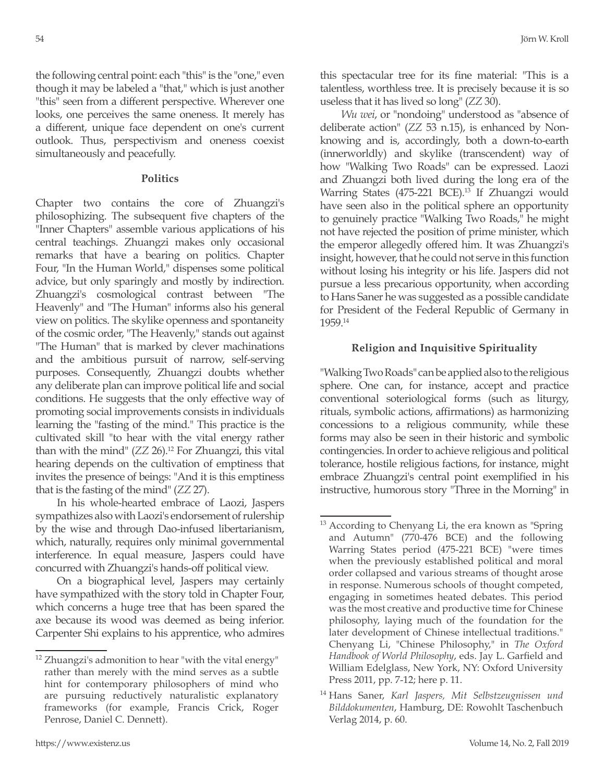the following central point: each "this" is the "one," even though it may be labeled a "that," which is just another "this" seen from a different perspective. Wherever one looks, one perceives the same oneness. It merely has a different, unique face dependent on one's current outlook. Thus, perspectivism and oneness coexist simultaneously and peacefully.

## **Politics**

Chapter two contains the core of Zhuangzi's philosophizing. The subsequent five chapters of the "Inner Chapters" assemble various applications of his central teachings. Zhuangzi makes only occasional remarks that have a bearing on politics. Chapter Four, "In the Human World," dispenses some political advice, but only sparingly and mostly by indirection. Zhuangzi's cosmological contrast between "The Heavenly" and "The Human" informs also his general view on politics. The skylike openness and spontaneity of the cosmic order, "The Heavenly," stands out against "The Human" that is marked by clever machinations and the ambitious pursuit of narrow, self-serving purposes. Consequently, Zhuangzi doubts whether any deliberate plan can improve political life and social conditions. He suggests that the only effective way of promoting social improvements consists in individuals learning the "fasting of the mind." This practice is the cultivated skill "to hear with the vital energy rather than with the mind" (*ZZ* 26).12 For Zhuangzi, this vital hearing depends on the cultivation of emptiness that invites the presence of beings: "And it is this emptiness that is the fasting of the mind" (*ZZ* 27).

In his whole-hearted embrace of Laozi, Jaspers sympathizes also with Laozi's endorsement of rulership by the wise and through Dao-infused libertarianism, which, naturally, requires only minimal governmental interference. In equal measure, Jaspers could have concurred with Zhuangzi's hands-off political view.

On a biographical level, Jaspers may certainly have sympathized with the story told in Chapter Four, which concerns a huge tree that has been spared the axe because its wood was deemed as being inferior. Carpenter Shi explains to his apprentice, who admires this spectacular tree for its fine material: "This is a talentless, worthless tree. It is precisely because it is so useless that it has lived so long" (*ZZ* 30).

*Wu wei*, or "nondoing" understood as "absence of deliberate action" (*ZZ* 53 n.15), is enhanced by Nonknowing and is, accordingly, both a down-to-earth (innerworldly) and skylike (transcendent) way of how "Walking Two Roads" can be expressed. Laozi and Zhuangzi both lived during the long era of the Warring States (475-221 BCE).<sup>13</sup> If Zhuangzi would have seen also in the political sphere an opportunity to genuinely practice "Walking Two Roads," he might not have rejected the position of prime minister, which the emperor allegedly offered him. It was Zhuangzi's insight, however, that he could not serve in this function without losing his integrity or his life. Jaspers did not pursue a less precarious opportunity, when according to Hans Saner he was suggested as a possible candidate for President of the Federal Republic of Germany in 1959.14

### **Religion and Inquisitive Spirituality**

"Walking Two Roads" can be applied also to the religious sphere. One can, for instance, accept and practice conventional soteriological forms (such as liturgy, rituals, symbolic actions, affirmations) as harmonizing concessions to a religious community, while these forms may also be seen in their historic and symbolic contingencies. In order to achieve religious and political tolerance, hostile religious factions, for instance, might embrace Zhuangzi's central point exemplified in his instructive, humorous story "Three in the Morning" in

 $12$  Zhuangzi's admonition to hear "with the vital energy" rather than merely with the mind serves as a subtle hint for contemporary philosophers of mind who are pursuing reductively naturalistic explanatory frameworks (for example, Francis Crick, Roger Penrose, Daniel C. Dennett).

 $13$  According to Chenyang Li, the era known as "Spring" and Autumn" (770-476 BCE) and the following Warring States period (475-221 BCE) "were times when the previously established political and moral order collapsed and various streams of thought arose in response. Numerous schools of thought competed, engaging in sometimes heated debates. This period was the most creative and productive time for Chinese philosophy, laying much of the foundation for the later development of Chinese intellectual traditions." Chenyang Li, "Chinese Philosophy," in *The Oxford Handbook of World Philosophy*, eds. Jay L. Garfield and William Edelglass, New York, NY: Oxford University Press 2011, pp. 7-12; here p. 11.

<sup>14</sup> Hans Saner, *Karl Jaspers, Mit Selbstzeugnissen und Bilddokumenten*, Hamburg, DE: Rowohlt Taschenbuch Verlag 2014, p. 60.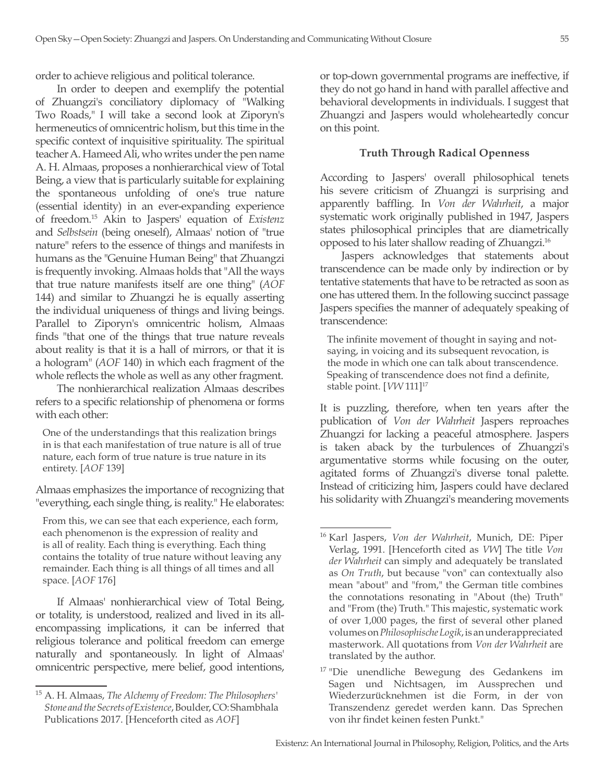order to achieve religious and political tolerance.

In order to deepen and exemplify the potential of Zhuangzi's conciliatory diplomacy of "Walking Two Roads," I will take a second look at Ziporyn's hermeneutics of omnicentric holism, but this time in the specific context of inquisitive spirituality. The spiritual teacher A. Hameed Ali, who writes under the pen name A. H. Almaas, proposes a nonhierarchical view of Total Being, a view that is particularly suitable for explaining the spontaneous unfolding of one's true nature (essential identity) in an ever-expanding experience of freedom.15 Akin to Jaspers' equation of *Existenz* and *Selbstsein* (being oneself), Almaas' notion of "true nature" refers to the essence of things and manifests in humans as the "Genuine Human Being" that Zhuangzi is frequently invoking. Almaas holds that "All the ways that true nature manifests itself are one thing" (*AOF* 144) and similar to Zhuangzi he is equally asserting the individual uniqueness of things and living beings. Parallel to Ziporyn's omnicentric holism, Almaas finds "that one of the things that true nature reveals about reality is that it is a hall of mirrors, or that it is a hologram" (*AOF* 140) in which each fragment of the whole reflects the whole as well as any other fragment.

The nonhierarchical realization Almaas describes refers to a specific relationship of phenomena or forms with each other:

One of the understandings that this realization brings in is that each manifestation of true nature is all of true nature, each form of true nature is true nature in its entirety. [*AOF* 139]

Almaas emphasizes the importance of recognizing that "everything, each single thing, is reality." He elaborates:

From this, we can see that each experience, each form, each phenomenon is the expression of reality and is all of reality. Each thing is everything. Each thing contains the totality of true nature without leaving any remainder. Each thing is all things of all times and all space. [*AOF* 176]

If Almaas' nonhierarchical view of Total Being, or totality, is understood, realized and lived in its allencompassing implications, it can be inferred that religious tolerance and political freedom can emerge naturally and spontaneously. In light of Almaas' omnicentric perspective, mere belief, good intentions,

or top-down governmental programs are ineffective, if they do not go hand in hand with parallel affective and behavioral developments in individuals. I suggest that Zhuangzi and Jaspers would wholeheartedly concur on this point.

#### **Truth Through Radical Openness**

According to Jaspers' overall philosophical tenets his severe criticism of Zhuangzi is surprising and apparently baffling. In *Von der Wahrheit*, a major systematic work originally published in 1947, Jaspers states philosophical principles that are diametrically opposed to his later shallow reading of Zhuangzi.16

Jaspers acknowledges that statements about transcendence can be made only by indirection or by tentative statements that have to be retracted as soon as one has uttered them. In the following succinct passage Jaspers specifies the manner of adequately speaking of transcendence:

The infinite movement of thought in saying and notsaying, in voicing and its subsequent revocation, is the mode in which one can talk about transcendence. Speaking of transcendence does not find a definite, stable point. [*VW* 111]<sup>17</sup>

It is puzzling, therefore, when ten years after the publication of *Von der Wahrheit* Jaspers reproaches Zhuangzi for lacking a peaceful atmosphere. Jaspers is taken aback by the turbulences of Zhuangzi's argumentative storms while focusing on the outer, agitated forms of Zhuangzi's diverse tonal palette. Instead of criticizing him, Jaspers could have declared his solidarity with Zhuangzi's meandering movements

<sup>15</sup> A. H. Almaas, *The Alchemy of Freedom: The Philosophers' Stone and the Secrets of Existence*, Boulder, CO: Shambhala Publications 2017. [Henceforth cited as *AOF*]

<sup>16</sup> Karl Jaspers, *Von der Wahrheit*, Munich, DE: Piper Verlag, 1991. [Henceforth cited as *VW*] The title *Von der Wahrheit* can simply and adequately be translated as *On Truth*, but because "von" can contextually also mean "about" and "from," the German title combines the connotations resonating in "About (the) Truth" and "From (the) Truth." This majestic, systematic work of over 1,000 pages, the first of several other planed volumes on *Philosophische Logik*, is an underappreciated masterwork. All quotations from *Von der Wahrheit* are translated by the author.

<sup>&</sup>lt;sup>17</sup> "Die unendliche Bewegung des Gedankens im Sagen und Nichtsagen, im Aussprechen und Wiederzurücknehmen ist die Form, in der von Transzendenz geredet werden kann. Das Sprechen von ihr findet keinen festen Punkt."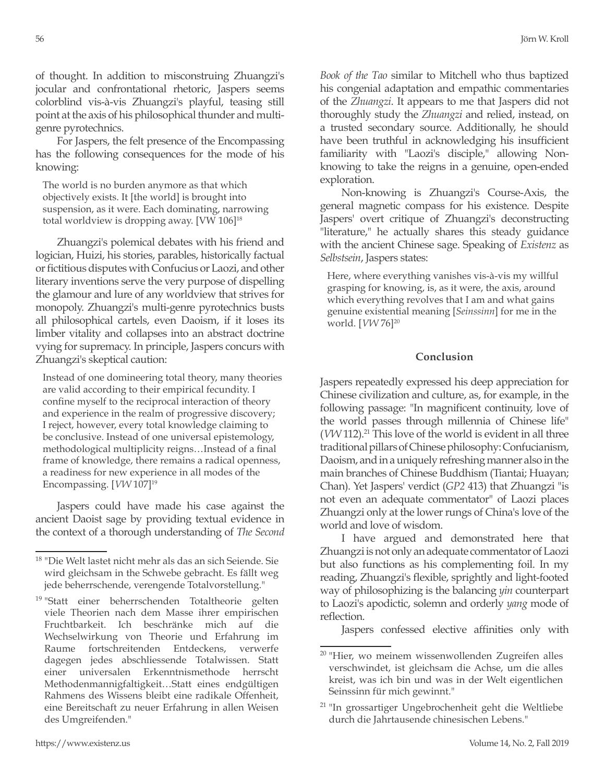of thought. In addition to misconstruing Zhuangzi's jocular and confrontational rhetoric, Jaspers seems colorblind vis-à-vis Zhuangzi's playful, teasing still point at the axis of his philosophical thunder and multigenre pyrotechnics.

For Jaspers, the felt presence of the Encompassing has the following consequences for the mode of his knowing:

The world is no burden anymore as that which objectively exists. It [the world] is brought into suspension, as it were. Each dominating, narrowing total worldview is dropping away. [VW 106]<sup>18</sup>

Zhuangzi's polemical debates with his friend and logician, Huizi, his stories, parables, historically factual or fictitious disputes with Confucius or Laozi, and other literary inventions serve the very purpose of dispelling the glamour and lure of any worldview that strives for monopoly. Zhuangzi's multi-genre pyrotechnics busts all philosophical cartels, even Daoism, if it loses its limber vitality and collapses into an abstract doctrine vying for supremacy. In principle, Jaspers concurs with Zhuangzi's skeptical caution:

Instead of one domineering total theory, many theories are valid according to their empirical fecundity. I confine myself to the reciprocal interaction of theory and experience in the realm of progressive discovery; I reject, however, every total knowledge claiming to be conclusive. Instead of one universal epistemology, methodological multiplicity reigns…Instead of a final frame of knowledge, there remains a radical openness, a readiness for new experience in all modes of the Encompassing. [*VW* 107]19

Jaspers could have made his case against the ancient Daoist sage by providing textual evidence in the context of a thorough understanding of *The Second*  *Book of the Tao* similar to Mitchell who thus baptized his congenial adaptation and empathic commentaries of the *Zhuangzi*. It appears to me that Jaspers did not thoroughly study the *Zhuangzi* and relied, instead, on a trusted secondary source. Additionally, he should have been truthful in acknowledging his insufficient familiarity with "Laozi's disciple," allowing Nonknowing to take the reigns in a genuine, open-ended exploration.

Non-knowing is Zhuangzi's Course-Axis, the general magnetic compass for his existence. Despite Jaspers' overt critique of Zhuangzi's deconstructing "literature," he actually shares this steady guidance with the ancient Chinese sage. Speaking of *Existenz* as *Selbstsein*, Jaspers states:

Here, where everything vanishes vis-à-vis my willful grasping for knowing, is, as it were, the axis, around which everything revolves that I am and what gains genuine existential meaning [*Seinssinn*] for me in the world. [*VW* 76]20

### **Conclusion**

Jaspers repeatedly expressed his deep appreciation for Chinese civilization and culture, as, for example, in the following passage: "In magnificent continuity, love of the world passes through millennia of Chinese life" (*VW* 112).21 This love of the world is evident in all three traditional pillars of Chinese philosophy: Confucianism, Daoism, and in a uniquely refreshing manner also in the main branches of Chinese Buddhism (Tiantai; Huayan; Chan). Yet Jaspers' verdict (*GP2* 413) that Zhuangzi "is not even an adequate commentator" of Laozi places Zhuangzi only at the lower rungs of China's love of the world and love of wisdom.

I have argued and demonstrated here that Zhuangzi is not only an adequate commentator of Laozi but also functions as his complementing foil. In my reading, Zhuangzi's flexible, sprightly and light-footed way of philosophizing is the balancing *yin* counterpart to Laozi's apodictic, solemn and orderly *yang* mode of reflection.

Jaspers confessed elective affinities only with

<sup>18</sup> "Die Welt lastet nicht mehr als das an sich Seiende. Sie wird gleichsam in the Schwebe gebracht. Es fällt weg jede beherrschende, verengende Totalvorstellung."

<sup>&</sup>lt;sup>19</sup> "Statt einer beherrschenden Totaltheorie gelten viele Theorien nach dem Masse ihrer empirischen Fruchtbarkeit. Ich beschränke mich auf die Wechselwirkung von Theorie und Erfahrung im Raume fortschreitenden Entdeckens, verwerfe dagegen jedes abschliessende Totalwissen. Statt einer universalen Erkenntnismethode herrscht Methodenmannigfaltigkeit…Statt eines endgültigen Rahmens des Wissens bleibt eine radikale Offenheit, eine Bereitschaft zu neuer Erfahrung in allen Weisen des Umgreifenden."

<sup>&</sup>lt;sup>20</sup> "Hier, wo meinem wissenwollenden Zugreifen alles verschwindet, ist gleichsam die Achse, um die alles kreist, was ich bin und was in der Welt eigentlichen Seinssinn für mich gewinnt."

<sup>&</sup>lt;sup>21</sup> "In grossartiger Ungebrochenheit geht die Weltliebe durch die Jahrtausende chinesischen Lebens."